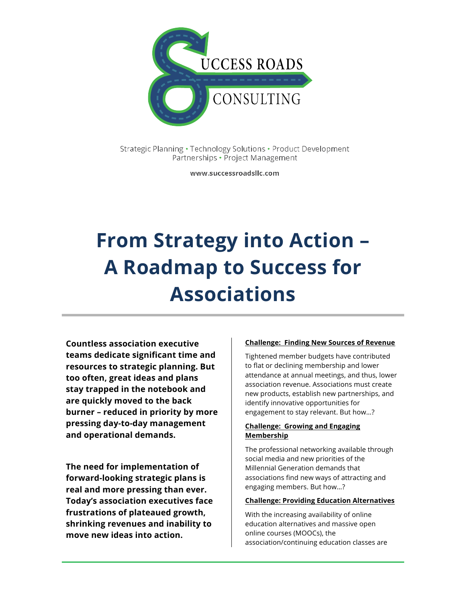

Strategic Planning · Technology Solutions · Product Development Partnerships • Project Management

www.successroadsllc.com

# **From Strategy into Action – A Roadmap to Success for Associations**

**Countless association executive teams dedicate significant time and resources to strategic planning. But too often, great ideas and plans stay trapped in the notebook and are quickly moved to the back burner – reduced in priority by more pressing day-to-day management and operational demands.** 

**The need for implementation of forward-looking strategic plans is real and more pressing than ever. Today's association executives face frustrations of plateaued growth, shrinking revenues and inability to move new ideas into action.**

#### **Challenge: Finding New Sources of Revenue**

Tightened member budgets have contributed to flat or declining membership and lower attendance at annual meetings, and thus, lower association revenue. Associations must create new products, establish new partnerships, and identify innovative opportunities for engagement to stay relevant. But how…?

#### **Challenge: Growing and Engaging Membership**

The professional networking available through social media and new priorities of the Millennial Generation demands that associations find new ways of attracting and engaging members. But how…?

#### **Challenge: Providing Education Alternatives**

With the increasing availability of online education alternatives and massive open online courses (MOOCs), the association/continuing education classes are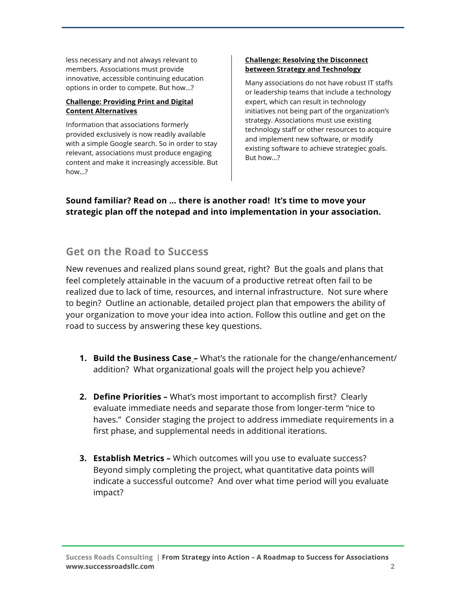less necessary and not always relevant to members. Associations must provide innovative, accessible continuing education options in order to compete. But how…?

#### **Challenge: Providing Print and Digital Content Alternatives**

Information that associations formerly provided exclusively is now readily available with a simple Google search. So in order to stay relevant, associations must produce engaging content and make it increasingly accessible. But how…?

#### **Challenge: Resolving the Disconnect between Strategy and Technology**

Many associations do not have robust IT staffs or leadership teams that include a technology expert, which can result in technology initiatives not being part of the organization's strategy. Associations must use existing technology staff or other resources to acquire and implement new software, or modify existing software to achieve strategiec goals. But how…?

### **Sound familiar? Read on … there is another road! It's time to move your strategic plan off the notepad and into implementation in your association.**

## **Get on the Road to Success**

New revenues and realized plans sound great, right? But the goals and plans that feel completely attainable in the vacuum of a productive retreat often fail to be realized due to lack of time, resources, and internal infrastructure. Not sure where to begin? Outline an actionable, detailed project plan that empowers the ability of your organization to move your idea into action. Follow this outline and get on the road to success by answering these key questions.

- **1. Build the Business Case –** What's the rationale for the change/enhancement/ addition? What organizational goals will the project help you achieve?
- **2. Define Priorities –** What's most important to accomplish first? Clearly evaluate immediate needs and separate those from longer-term "nice to haves." Consider staging the project to address immediate requirements in a first phase, and supplemental needs in additional iterations.
- **3. Establish Metrics –** Which outcomes will you use to evaluate success? Beyond simply completing the project, what quantitative data points will indicate a successful outcome? And over what time period will you evaluate impact?